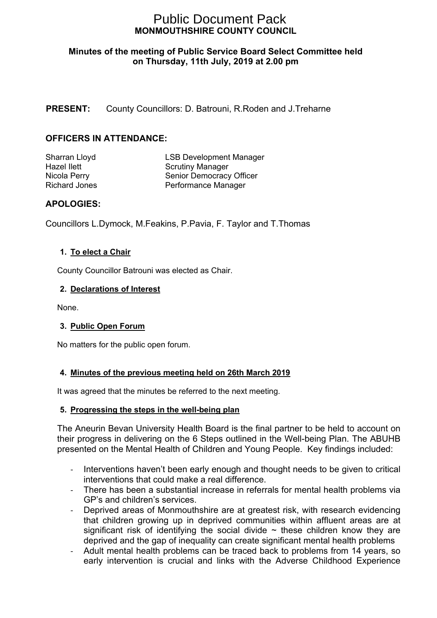# **MONMOUTHSHIRE COUNTY COUNCIL** Public Document Pack

## **Minutes of the meeting of Public Service Board Select Committee held on Thursday, 11th July, 2019 at 2.00 pm**

## **PRESENT:** County Councillors: D. Batrouni, R.Roden and J.Treharne

## **OFFICERS IN ATTENDANCE:**

Sharran Lloyd LSB Development Manager Hazel Ilett **Scrutiny Manager** Scrutiny Manager Nicola Perry Senior Democracy Officer Richard Jones **Performance Manager** 

## **APOLOGIES:**

Councillors L.Dymock, M.Feakins, P.Pavia, F. Taylor and T.Thomas

#### **1. To elect a Chair**

County Councillor Batrouni was elected as Chair.

#### **2. Declarations of Interest**

None.

## **3. Public Open Forum**

No matters for the public open forum.

#### **4. Minutes of the previous meeting held on 26th March 2019**

It was agreed that the minutes be referred to the next meeting.

#### **5. Progressing the steps in the well-being plan**

The Aneurin Bevan University Health Board is the final partner to be held to account on their progress in delivering on the 6 Steps outlined in the Well-being Plan. The ABUHB presented on the Mental Health of Children and Young People. Key findings included:

- Interventions haven't been early enough and thought needs to be given to critical interventions that could make a real difference.
- There has been a substantial increase in referrals for mental health problems via GP's and children's services.
- Deprived areas of Monmouthshire are at greatest risk, with research evidencing that children growing up in deprived communities within affluent areas are at significant risk of identifying the social divide  $\sim$  these children know they are deprived and the gap of inequality can create significant mental health problems
- Adult mental health problems can be traced back to problems from 14 years, so early intervention is crucial and links with the Adverse Childhood Experience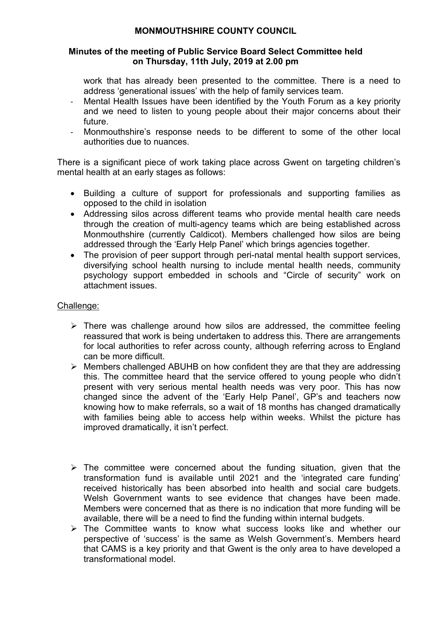## **MONMOUTHSHIRE COUNTY COUNCIL**

#### **Minutes of the meeting of Public Service Board Select Committee held on Thursday, 11th July, 2019 at 2.00 pm**

work that has already been presented to the committee. There is a need to address 'generational issues' with the help of family services team.

- Mental Health Issues have been identified by the Youth Forum as a key priority and we need to listen to young people about their major concerns about their future.
- Monmouthshire's response needs to be different to some of the other local authorities due to nuances.

There is a significant piece of work taking place across Gwent on targeting children's mental health at an early stages as follows:

- Building a culture of support for professionals and supporting families as opposed to the child in isolation
- Addressing silos across different teams who provide mental health care needs through the creation of multi-agency teams which are being established across Monmouthshire (currently Caldicot). Members challenged how silos are being addressed through the 'Early Help Panel' which brings agencies together.
- The provision of peer support through peri-natal mental health support services, diversifying school health nursing to include mental health needs, community psychology support embedded in schools and "Circle of security" work on attachment issues.

## Challenge:

- $\triangleright$  There was challenge around how silos are addressed, the committee feeling reassured that work is being undertaken to address this. There are arrangements for local authorities to refer across county, although referring across to England can be more difficult.
- $\triangleright$  Members challenged ABUHB on how confident they are that they are addressing this. The committee heard that the service offered to young people who didn't present with very serious mental health needs was very poor. This has now changed since the advent of the 'Early Help Panel', GP's and teachers now knowing how to make referrals, so a wait of 18 months has changed dramatically with families being able to access help within weeks. Whilst the picture has improved dramatically, it isn't perfect.
- $\triangleright$  The committee were concerned about the funding situation, given that the transformation fund is available until 2021 and the 'integrated care funding' received historically has been absorbed into health and social care budgets. Welsh Government wants to see evidence that changes have been made. Members were concerned that as there is no indication that more funding will be available, there will be a need to find the funding within internal budgets.
- $\triangleright$  The Committee wants to know what success looks like and whether our perspective of 'success' is the same as Welsh Government's. Members heard that CAMS is a key priority and that Gwent is the only area to have developed a transformational model.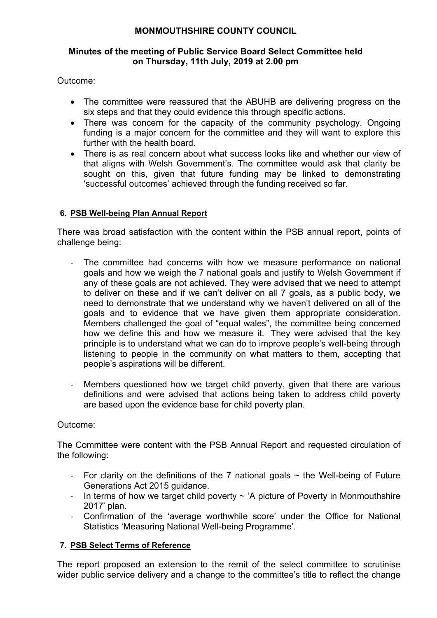## **MONMOUTHSHIRE COUNTY COUNCIL**

## **Minutes of the meeting of Public Service Board Select Committee held on Thursday, 11th July, 2019 at 2.00 pm**

## Outcome:

- The committee were reassured that the ABUHB are delivering progress on the six steps and that they could evidence this through specific actions.
- There was concern for the capacity of the community psychology. Ongoing funding is a major concern for the committee and they will want to explore this further with the health board.
- There is as real concern about what success looks like and whether our view of that aligns with Welsh Government's. The committee would ask that clarity be sought on this, given that future funding may be linked to demonstrating 'successful outcomes' achieved through the funding received so far.

## **6. PSB Well-being Plan Annual Report**

There was broad satisfaction with the content within the PSB annual report, points of challenge being:

- The committee had concerns with how we measure performance on national goals and how we weigh the 7 national goals and justify to Welsh Government if any of these goals are not achieved. They were advised that we need to attempt to deliver on these and if we can't deliver on all 7 goals, as a public body, we need to demonstrate that we understand why we haven't delivered on all of the goals and to evidence that we have given them appropriate consideration. Members challenged the goal of "equal wales", the committee being concerned how we define this and how we measure it. They were advised that the key principle is to understand what we can do to improve people's well-being through listening to people in the community on what matters to them, accepting that people's aspirations will be different.
- Members questioned how we target child poverty, given that there are various definitions and were advised that actions being taken to address child poverty are based upon the evidence base for child poverty plan.

## Outcome:

The Committee were content with the PSB Annual Report and requested circulation of the following:

- For clarity on the definitions of the 7 national goals  $\sim$  the Well-being of Future Generations Act 2015 guidance.
- In terms of how we target child poverty  $\sim$  'A picture of Poverty in Monmouthshire 2017' plan.
- Confirmation of the 'average worthwhile score' under the Office for National Statistics 'Measuring National Well-being Programme'.

## **7. PSB Select Terms of Reference**

The report proposed an extension to the remit of the select committee to scrutinise wider public service delivery and a change to the committee's title to reflect the change